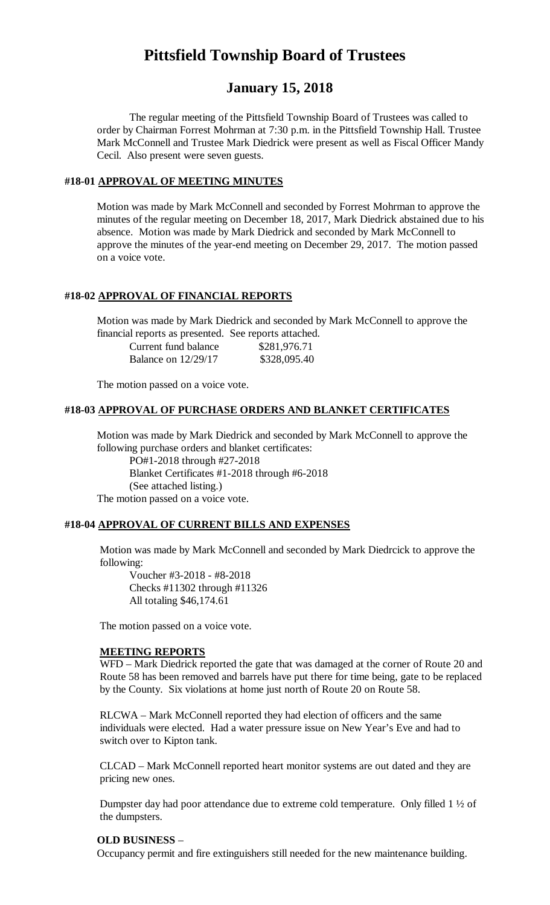# **Pittsfield Township Board of Trustees**

# **January 15, 2018**

The regular meeting of the Pittsfield Township Board of Trustees was called to order by Chairman Forrest Mohrman at 7:30 p.m. in the Pittsfield Township Hall. Trustee Mark McConnell and Trustee Mark Diedrick were present as well as Fiscal Officer Mandy Cecil. Also present were seven guests.

#### **#18-01 APPROVAL OF MEETING MINUTES**

Motion was made by Mark McConnell and seconded by Forrest Mohrman to approve the minutes of the regular meeting on December 18, 2017, Mark Diedrick abstained due to his absence. Motion was made by Mark Diedrick and seconded by Mark McConnell to approve the minutes of the year-end meeting on December 29, 2017. The motion passed on a voice vote.

#### **#18-02 APPROVAL OF FINANCIAL REPORTS**

Motion was made by Mark Diedrick and seconded by Mark McConnell to approve the financial reports as presented. See reports attached.

| Current fund balance  | \$281,976.71 |
|-----------------------|--------------|
| Balance on $12/29/17$ | \$328,095.40 |

The motion passed on a voice vote.

#### **#18-03 APPROVAL OF PURCHASE ORDERS AND BLANKET CERTIFICATES**

Motion was made by Mark Diedrick and seconded by Mark McConnell to approve the following purchase orders and blanket certificates:

PO#1-2018 through #27-2018 Blanket Certificates #1-2018 through #6-2018 (See attached listing.) The motion passed on a voice vote.

#### **#18-04 APPROVAL OF CURRENT BILLS AND EXPENSES**

Motion was made by Mark McConnell and seconded by Mark Diedrcick to approve the following:

Voucher #3-2018 - #8-2018 Checks #11302 through #11326 All totaling \$46,174.61

The motion passed on a voice vote.

#### **MEETING REPORTS**

WFD – Mark Diedrick reported the gate that was damaged at the corner of Route 20 and Route 58 has been removed and barrels have put there for time being, gate to be replaced by the County. Six violations at home just north of Route 20 on Route 58.

RLCWA – Mark McConnell reported they had election of officers and the same individuals were elected. Had a water pressure issue on New Year's Eve and had to switch over to Kipton tank.

CLCAD – Mark McConnell reported heart monitor systems are out dated and they are pricing new ones.

Dumpster day had poor attendance due to extreme cold temperature. Only filled 1 ½ of the dumpsters.

#### **OLD BUSINESS** –

Occupancy permit and fire extinguishers still needed for the new maintenance building.